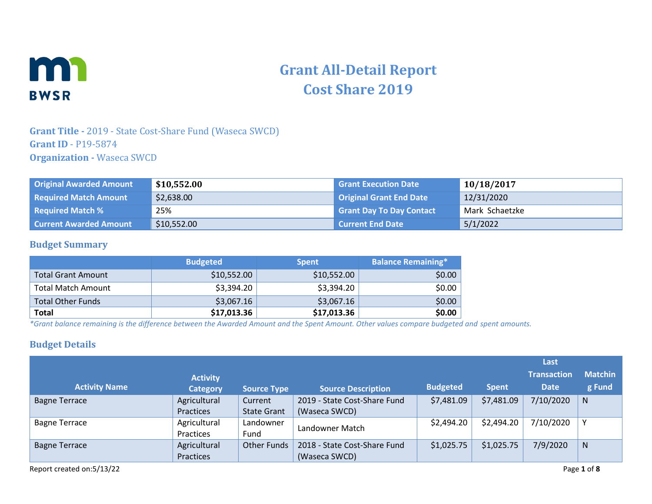

# **Grant All-Detail Report Cost Share 2019**

### **Grant Title -** 2019 - State Cost-Share Fund (Waseca SWCD) **Grant ID** - P19-5874 **Organization -** Waseca SWCD

| <b>Original Awarded Amount</b> | \$10,552.00 | <b>Grant Execution Date</b>     | 10/18/2017     |
|--------------------------------|-------------|---------------------------------|----------------|
| <b>Required Match Amount</b>   | \$2,638.00  | <b>Original Grant End Date</b>  | 12/31/2020     |
| <b>Required Match %</b>        | 25%         | <b>Grant Day To Day Contact</b> | Mark Schaetzke |
| <b>Current Awarded Amount</b>  | \$10,552.00 | <b>Current End Date</b>         | 5/1/2022       |

#### **Budget Summary**

|                           | <b>Budgeted</b> | <b>Spent</b> | <b>Balance Remaining*</b> |
|---------------------------|-----------------|--------------|---------------------------|
| <b>Total Grant Amount</b> | \$10,552.00     | \$10,552.00  | \$0.00                    |
| <b>Total Match Amount</b> | \$3,394.20      | \$3,394.20   | \$0.00                    |
| <b>Total Other Funds</b>  | \$3,067.16      | \$3,067.16   | \$0.00                    |
| <b>Total</b>              | \$17,013.36     | \$17,013.36  | \$0.00                    |

*\*Grant balance remaining is the difference between the Awarded Amount and the Spent Amount. Other values compare budgeted and spent amounts.*

### **Budget Details**

|                      |                 |                    |                              |                 |              | Last               |                |
|----------------------|-----------------|--------------------|------------------------------|-----------------|--------------|--------------------|----------------|
|                      | <b>Activity</b> |                    |                              |                 |              | <b>Transaction</b> | <b>Matchin</b> |
| <b>Activity Name</b> | <b>Category</b> | <b>Source Type</b> | <b>Source Description</b>    | <b>Budgeted</b> | <b>Spent</b> | <b>Date</b>        | g Fund         |
| <b>Bagne Terrace</b> | Agricultural    | Current            | 2019 - State Cost-Share Fund | \$7,481.09      | \$7,481.09   | 7/10/2020          | N              |
|                      | Practices       | <b>State Grant</b> | (Waseca SWCD)                |                 |              |                    |                |
| <b>Bagne Terrace</b> | Agricultural    | Landowner          | Landowner Match              | \$2,494.20      | \$2,494.20   | 7/10/2020          | v              |
|                      | Practices       | Fund               |                              |                 |              |                    |                |
| <b>Bagne Terrace</b> | Agricultural    | <b>Other Funds</b> | 2018 - State Cost-Share Fund | \$1,025.75      | \$1,025.75   | 7/9/2020           | N              |
|                      | Practices       |                    | (Waseca SWCD)                |                 |              |                    |                |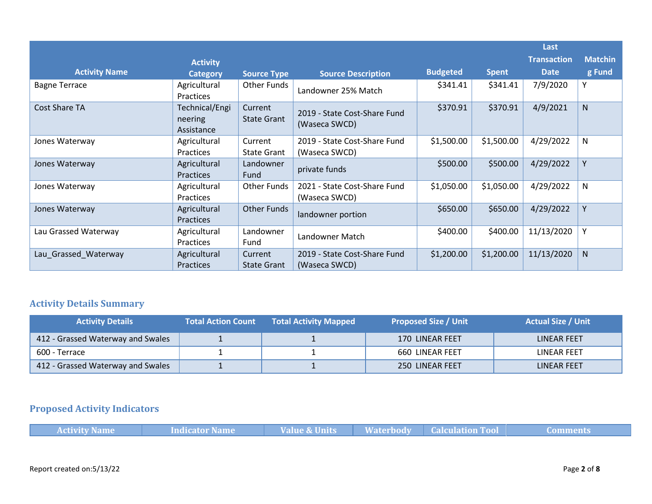|                      |                                         |                               |                                               |                 |              | Last               |                |
|----------------------|-----------------------------------------|-------------------------------|-----------------------------------------------|-----------------|--------------|--------------------|----------------|
|                      | <b>Activity</b>                         |                               |                                               |                 |              | <b>Transaction</b> | <b>Matchin</b> |
| <b>Activity Name</b> | <b>Category</b>                         | <b>Source Type</b>            | <b>Source Description</b>                     | <b>Budgeted</b> | <b>Spent</b> | <b>Date</b>        | g Fund         |
| <b>Bagne Terrace</b> | Agricultural<br><b>Practices</b>        | Other Funds                   | Landowner 25% Match                           | \$341.41        | \$341.41     | 7/9/2020           | Υ              |
| Cost Share TA        | Technical/Engi<br>neering<br>Assistance | Current<br><b>State Grant</b> | 2019 - State Cost-Share Fund<br>(Waseca SWCD) | \$370.91        | \$370.91     | 4/9/2021           | N              |
| Jones Waterway       | Agricultural<br><b>Practices</b>        | Current<br>State Grant        | 2019 - State Cost-Share Fund<br>(Waseca SWCD) | \$1,500.00      | \$1,500.00   | 4/29/2022          | N              |
| Jones Waterway       | Agricultural<br><b>Practices</b>        | Landowner<br>Fund             | private funds                                 | \$500.00        | \$500.00     | 4/29/2022          | Y              |
| Jones Waterway       | Agricultural<br><b>Practices</b>        | Other Funds                   | 2021 - State Cost-Share Fund<br>(Waseca SWCD) | \$1,050.00      | \$1,050.00   | 4/29/2022          | N              |
| Jones Waterway       | Agricultural<br>Practices               | Other Funds                   | landowner portion                             | \$650.00        | \$650.00     | 4/29/2022          | Y              |
| Lau Grassed Waterway | Agricultural<br><b>Practices</b>        | Landowner<br>Fund             | Landowner Match                               | \$400.00        | \$400.00     | 11/13/2020         | Y              |
| Lau_Grassed_Waterway | Agricultural<br><b>Practices</b>        | Current<br><b>State Grant</b> | 2019 - State Cost-Share Fund<br>(Waseca SWCD) | \$1,200.00      | \$1,200.00   | 11/13/2020         | <sub>N</sub>   |

## **Activity Details Summary**

| <b>Activity Details</b>           | <b>Total Action Count</b> | <b>Total Activity Mapped</b> | <b>Proposed Size / Unit</b> | <b>Actual Size / Unit</b> |
|-----------------------------------|---------------------------|------------------------------|-----------------------------|---------------------------|
| 412 - Grassed Waterway and Swales |                           |                              | 170 LINEAR FEET             | LINEAR FEET               |
| 600 - Terrace                     |                           |                              | 660 LINEAR FEET             | LINEAR FEET               |
| 412 - Grassed Waterway and Swales |                           |                              | 250 LINEAR FEET             | LINEAR FEET               |

# **Proposed Activity Indicators**

|  | <b>Activity Name</b> | Indicator Name | Value & Units |  | <b>Example 2 Waterbody Calculation Tool</b> | Comments |
|--|----------------------|----------------|---------------|--|---------------------------------------------|----------|
|--|----------------------|----------------|---------------|--|---------------------------------------------|----------|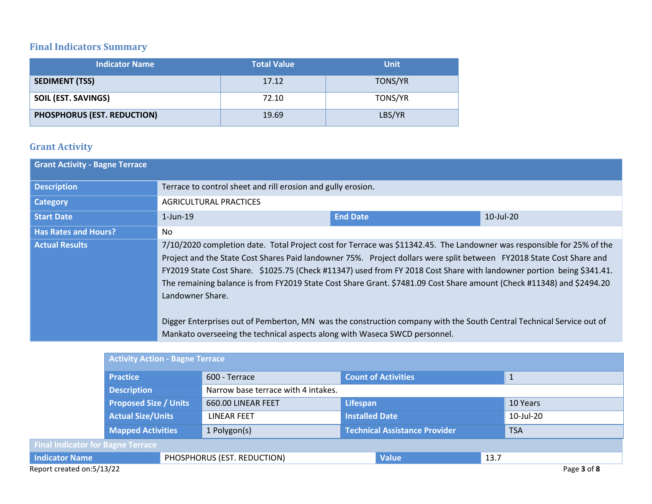## **Final Indicators Summary**

| <b>Indicator Name</b>       | <b>Total Value</b> | <b>Unit</b> |
|-----------------------------|--------------------|-------------|
| <b>SEDIMENT (TSS)</b>       | 17.12              | TONS/YR     |
| <b>SOIL (EST. SAVINGS)</b>  | 72.10              | TONS/YR     |
| PHOSPHORUS (EST. REDUCTION) | 19.69              | LBS/YR      |

## **Grant Activity**

| <b>Grant Activity - Bagne Terrace</b> |                                                                                                |                                                                                                                                                                                                                                                                                                                                                                                                                                                                                                                                                                                                                          |                 |
|---------------------------------------|------------------------------------------------------------------------------------------------|--------------------------------------------------------------------------------------------------------------------------------------------------------------------------------------------------------------------------------------------------------------------------------------------------------------------------------------------------------------------------------------------------------------------------------------------------------------------------------------------------------------------------------------------------------------------------------------------------------------------------|-----------------|
| <b>Description</b>                    | Terrace to control sheet and rill erosion and gully erosion.                                   |                                                                                                                                                                                                                                                                                                                                                                                                                                                                                                                                                                                                                          |                 |
| <b>Category</b>                       | <b>AGRICULTURAL PRACTICES</b>                                                                  |                                                                                                                                                                                                                                                                                                                                                                                                                                                                                                                                                                                                                          |                 |
| <b>Start Date</b>                     | $1$ -Jun-19                                                                                    | <b>End Date</b>                                                                                                                                                                                                                                                                                                                                                                                                                                                                                                                                                                                                          | $10$ -Jul- $20$ |
| <b>Has Rates and Hours?</b>           | No.                                                                                            |                                                                                                                                                                                                                                                                                                                                                                                                                                                                                                                                                                                                                          |                 |
| <b>Actual Results</b>                 | Landowner Share.<br>Mankato overseeing the technical aspects along with Waseca SWCD personnel. | 7/10/2020 completion date. Total Project cost for Terrace was \$11342.45. The Landowner was responsible for 25% of the<br>Project and the State Cost Shares Paid landowner 75%. Project dollars were split between FY2018 State Cost Share and<br>FY2019 State Cost Share. \$1025.75 (Check #11347) used from FY 2018 Cost Share with landowner portion being \$341.41.<br>The remaining balance is from FY2019 State Cost Share Grant. \$7481.09 Cost Share amount (Check #11348) and \$2494.20<br>Digger Enterprises out of Pemberton, MN was the construction company with the South Central Technical Service out of |                 |

|                                          | <b>Activity Action - Bagne Terrace</b> |  |                                     |                       |                                      |           |            |             |
|------------------------------------------|----------------------------------------|--|-------------------------------------|-----------------------|--------------------------------------|-----------|------------|-------------|
|                                          | <b>Practice</b>                        |  | 600 - Terrace                       |                       | <b>Count of Activities</b>           |           |            |             |
|                                          | <b>Description</b>                     |  | Narrow base terrace with 4 intakes. |                       |                                      |           |            |             |
|                                          | <b>Proposed Size / Units</b>           |  | 660.00 LINEAR FEET                  | Lifespan              |                                      |           | 10 Years   |             |
|                                          | <b>Actual Size/Units</b>               |  | LINEAR FEET                         | <b>Installed Date</b> |                                      | 10-Jul-20 |            |             |
|                                          | <b>Mapped Activities</b>               |  | 1 Polygon(s)                        |                       | <b>Technical Assistance Provider</b> |           | <b>TSA</b> |             |
| <b>Final Indicator for Bagne Terrace</b> |                                        |  |                                     |                       |                                      |           |            |             |
| <b>Indicator Name</b>                    |                                        |  | PHOSPHORUS (EST. REDUCTION)         |                       | <b>Value</b>                         | 13.7      |            |             |
| Report created on:5/13/22                |                                        |  |                                     |                       |                                      |           |            | Page 3 of 8 |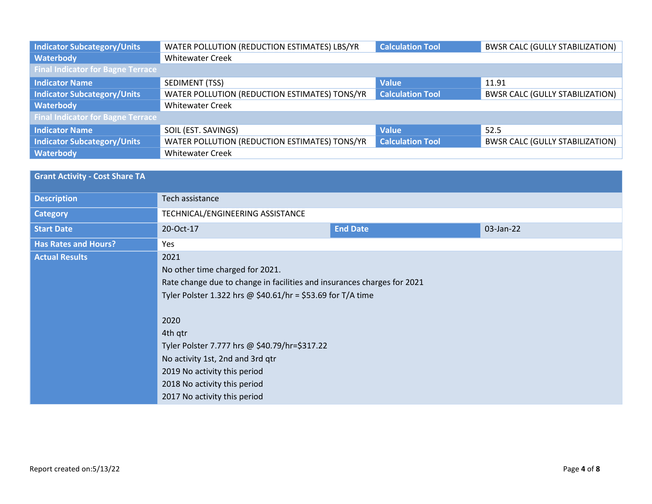| <b>Indicator Subcategory/Units</b>       | WATER POLLUTION (REDUCTION ESTIMATES) LBS/YR  | <b>Calculation Tool</b> | <b>BWSR CALC (GULLY STABILIZATION)</b> |
|------------------------------------------|-----------------------------------------------|-------------------------|----------------------------------------|
| Waterbody                                | <b>Whitewater Creek</b>                       |                         |                                        |
| <b>Final Indicator for Bagne Terrace</b> |                                               |                         |                                        |
| <b>Indicator Name</b>                    | SEDIMENT (TSS)                                | <b>Value</b>            | 11.91                                  |
| <b>Indicator Subcategory/Units</b>       | WATER POLLUTION (REDUCTION ESTIMATES) TONS/YR | <b>Calculation Tool</b> | <b>BWSR CALC (GULLY STABILIZATION)</b> |
| Waterbody                                | <b>Whitewater Creek</b>                       |                         |                                        |
| <b>Final Indicator for Bagne Terrace</b> |                                               |                         |                                        |
| <b>Indicator Name</b>                    | SOIL (EST. SAVINGS)                           | <b>Value</b>            | 52.5                                   |
| <b>Indicator Subcategory/Units</b>       | WATER POLLUTION (REDUCTION ESTIMATES) TONS/YR | <b>Calculation Tool</b> | <b>BWSR CALC (GULLY STABILIZATION)</b> |
| Waterbody                                | <b>Whitewater Creek</b>                       |                         |                                        |

| <b>Grant Activity - Cost Share TA</b> |                                                                         |                 |           |
|---------------------------------------|-------------------------------------------------------------------------|-----------------|-----------|
| <b>Description</b>                    | Tech assistance                                                         |                 |           |
| <b>Category</b>                       | TECHNICAL/ENGINEERING ASSISTANCE                                        |                 |           |
| <b>Start Date</b>                     | 20-Oct-17                                                               | <b>End Date</b> | 03-Jan-22 |
| <b>Has Rates and Hours?</b>           | Yes                                                                     |                 |           |
| <b>Actual Results</b>                 | 2021<br>No other time charged for 2021.                                 |                 |           |
|                                       | Rate change due to change in facilities and insurances charges for 2021 |                 |           |
|                                       | Tyler Polster 1.322 hrs @ \$40.61/hr = \$53.69 for T/A time             |                 |           |
|                                       |                                                                         |                 |           |
|                                       | 2020                                                                    |                 |           |
|                                       | 4th qtr                                                                 |                 |           |
|                                       | Tyler Polster 7.777 hrs @ \$40.79/hr=\$317.22                           |                 |           |
|                                       | No activity 1st, 2nd and 3rd qtr                                        |                 |           |
|                                       | 2019 No activity this period                                            |                 |           |
|                                       | 2018 No activity this period                                            |                 |           |
|                                       | 2017 No activity this period                                            |                 |           |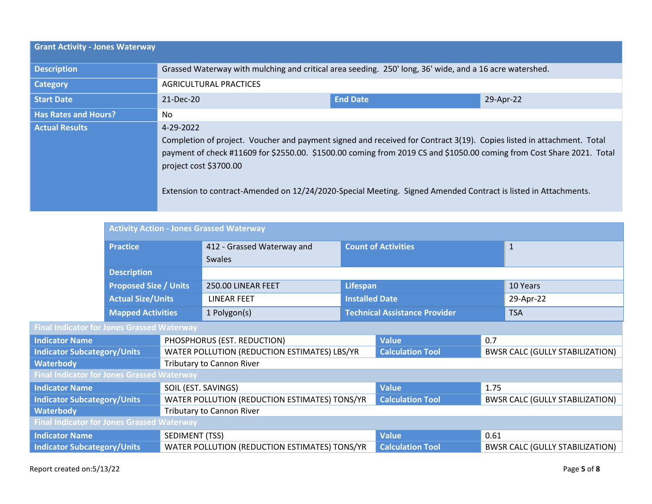| <b>Grant Activity - Jones Waterway</b> |                                                                                                                                                                                                                                                                                                                                                                                                         |                 |           |  |  |
|----------------------------------------|---------------------------------------------------------------------------------------------------------------------------------------------------------------------------------------------------------------------------------------------------------------------------------------------------------------------------------------------------------------------------------------------------------|-----------------|-----------|--|--|
| <b>Description</b>                     | Grassed Waterway with mulching and critical area seeding. 250' long, 36' wide, and a 16 acre watershed.                                                                                                                                                                                                                                                                                                 |                 |           |  |  |
| <b>Category</b>                        | <b>AGRICULTURAL PRACTICES</b>                                                                                                                                                                                                                                                                                                                                                                           |                 |           |  |  |
| <b>Start Date</b>                      | 21-Dec-20                                                                                                                                                                                                                                                                                                                                                                                               | <b>End Date</b> | 29-Apr-22 |  |  |
| <b>Has Rates and Hours?</b>            | No.                                                                                                                                                                                                                                                                                                                                                                                                     |                 |           |  |  |
| <b>Actual Results</b>                  | 4-29-2022<br>Completion of project. Voucher and payment signed and received for Contract 3(19). Copies listed in attachment. Total<br>payment of check #11609 for \$2550.00. \$1500.00 coming from 2019 CS and \$1050.00 coming from Cost Share 2021. Total<br>project cost \$3700.00<br>Extension to contract-Amended on 12/24/2020-Special Meeting. Signed Amended Contract is listed in Attachments. |                 |           |  |  |

|                                                   |                              | <b>Activity Action - Jones Grassed Waterway</b> |                            |                                      |                                        |                                        |              |
|---------------------------------------------------|------------------------------|-------------------------------------------------|----------------------------|--------------------------------------|----------------------------------------|----------------------------------------|--------------|
|                                                   | <b>Practice</b>              |                                                 | 412 - Grassed Waterway and | <b>Count of Activities</b>           |                                        |                                        | $\mathbf{1}$ |
|                                                   |                              |                                                 | <b>Swales</b>              |                                      |                                        |                                        |              |
| <b>Description</b>                                |                              |                                                 |                            |                                      |                                        |                                        |              |
|                                                   | <b>Proposed Size / Units</b> |                                                 | 250.00 LINEAR FEET         | <b>Lifespan</b>                      |                                        |                                        | 10 Years     |
|                                                   | <b>Actual Size/Units</b>     |                                                 | <b>LINEAR FEET</b>         | <b>Installed Date</b>                |                                        | 29-Apr-22                              |              |
| <b>Mapped Activities</b>                          |                              |                                                 | 1 Polygon(s)               | <b>Technical Assistance Provider</b> |                                        | <b>TSA</b>                             |              |
| <b>Final Indicator for Jones Grassed Waterway</b> |                              |                                                 |                            |                                      |                                        |                                        |              |
| <b>Indicator Name</b>                             |                              | PHOSPHORUS (EST. REDUCTION)                     |                            | <b>Value</b>                         | 0.7                                    |                                        |              |
| <b>Indicator Subcategory/Units</b>                |                              | WATER POLLUTION (REDUCTION ESTIMATES) LBS/YR    |                            | <b>Calculation Tool</b>              |                                        | <b>BWSR CALC (GULLY STABILIZATION)</b> |              |
| <b>Waterbody</b>                                  |                              | <b>Tributary to Cannon River</b>                |                            |                                      |                                        |                                        |              |
| <b>Final Indicator for Jones Grassed Waterway</b> |                              |                                                 |                            |                                      |                                        |                                        |              |
| <b>Indicator Name</b>                             |                              | SOIL (EST. SAVINGS)                             |                            | <b>Value</b>                         | 1.75                                   |                                        |              |
| <b>Indicator Subcategory/Units</b>                |                              | WATER POLLUTION (REDUCTION ESTIMATES) TONS/YR   |                            | <b>Calculation Tool</b>              | <b>BWSR CALC (GULLY STABILIZATION)</b> |                                        |              |
| <b>Waterbody</b>                                  |                              | <b>Tributary to Cannon River</b>                |                            |                                      |                                        |                                        |              |
| <b>Final Indicator for Jones Grassed Waterway</b> |                              |                                                 |                            |                                      |                                        |                                        |              |
| SEDIMENT (TSS)<br><b>Indicator Name</b>           |                              |                                                 |                            | <b>Value</b>                         | 0.61                                   |                                        |              |
| <b>Indicator Subcategory/Units</b>                |                              | WATER POLLUTION (REDUCTION ESTIMATES) TONS/YR   |                            | <b>Calculation Tool</b>              |                                        | <b>BWSR CALC (GULLY STABILIZATION)</b> |              |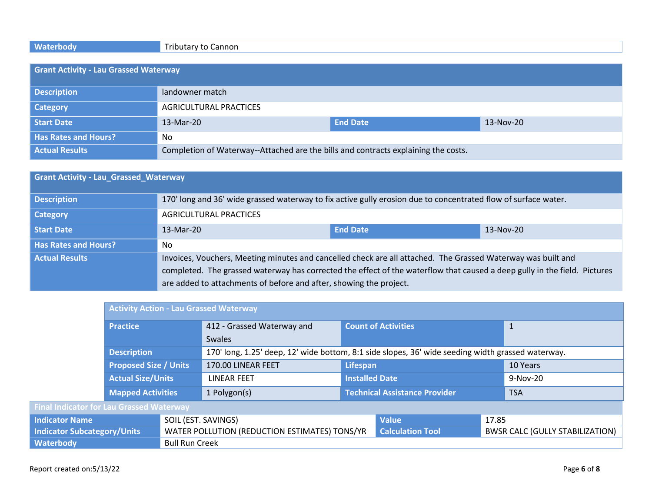# **Waterbody Tributary to Cannon**

| <b>Grant Activity - Lau Grassed Waterway</b> |                                                                                    |                 |           |  |
|----------------------------------------------|------------------------------------------------------------------------------------|-----------------|-----------|--|
| <b>Description</b>                           | landowner match                                                                    |                 |           |  |
| <b>Category</b>                              | AGRICULTURAL PRACTICES                                                             |                 |           |  |
| <b>Start Date</b>                            | 13-Mar-20                                                                          | <b>End Date</b> | 13-Nov-20 |  |
| <b>Has Rates and Hours?</b>                  | No                                                                                 |                 |           |  |
| <b>Actual Results</b>                        | Completion of Waterway--Attached are the bills and contracts explaining the costs. |                 |           |  |

| <b>Grant Activity - Lau Grassed Waterway</b> |                                                                                                                           |                 |           |  |
|----------------------------------------------|---------------------------------------------------------------------------------------------------------------------------|-----------------|-----------|--|
| <b>Description</b>                           | 170' long and 36' wide grassed waterway to fix active gully erosion due to concentrated flow of surface water.            |                 |           |  |
| <b>Category</b>                              | AGRICULTURAL PRACTICES                                                                                                    |                 |           |  |
| Start Date                                   | 13-Mar-20                                                                                                                 | <b>End Date</b> | 13-Nov-20 |  |
| <b>Has Rates and Hours?</b>                  | No.                                                                                                                       |                 |           |  |
| <b>Actual Results</b>                        | Invoices, Vouchers, Meeting minutes and cancelled check are all attached. The Grassed Waterway was built and              |                 |           |  |
|                                              | completed. The grassed waterway has corrected the effect of the waterflow that caused a deep gully in the field. Pictures |                 |           |  |
|                                              | are added to attachments of before and after, showing the project.                                                        |                 |           |  |

|                                                 | <b>Activity Action - Lau Grassed Waterway</b> |                                               |                                                                                                   |                            |            |                                        |  |
|-------------------------------------------------|-----------------------------------------------|-----------------------------------------------|---------------------------------------------------------------------------------------------------|----------------------------|------------|----------------------------------------|--|
| <b>Practice</b>                                 |                                               | 412 - Grassed Waterway and                    |                                                                                                   | <b>Count of Activities</b> |            | $\mathbf{1}$                           |  |
|                                                 |                                               |                                               | <b>Swales</b>                                                                                     |                            |            |                                        |  |
| <b>Description</b>                              |                                               |                                               | 170' long, 1.25' deep, 12' wide bottom, 8:1 side slopes, 36' wide seeding width grassed waterway. |                            |            |                                        |  |
| <b>Proposed Size / Units</b>                    |                                               | 170.00 LINEAR FEET                            | Lifespan                                                                                          |                            | 10 Years   |                                        |  |
|                                                 | <b>Actual Size/Units</b>                      |                                               | LINEAR FEET                                                                                       | <b>Installed Date</b>      |            | $9-Nov-20$                             |  |
| <b>Mapped Activities</b>                        |                                               | 1 Polygon(s)                                  | <b>Technical Assistance Provider</b>                                                              |                            | <b>TSA</b> |                                        |  |
| <b>Final Indicator for Lau Grassed Waterway</b> |                                               |                                               |                                                                                                   |                            |            |                                        |  |
| <b>Indicator Name</b>                           |                                               | SOIL (EST. SAVINGS)                           |                                                                                                   | <b>Value</b>               | 17.85      |                                        |  |
| <b>Indicator Subcategory/Units</b>              |                                               | WATER POLLUTION (REDUCTION ESTIMATES) TONS/YR |                                                                                                   | <b>Calculation Tool</b>    |            | <b>BWSR CALC (GULLY STABILIZATION)</b> |  |
| Waterbody<br><b>Bull Run Creek</b>              |                                               |                                               |                                                                                                   |                            |            |                                        |  |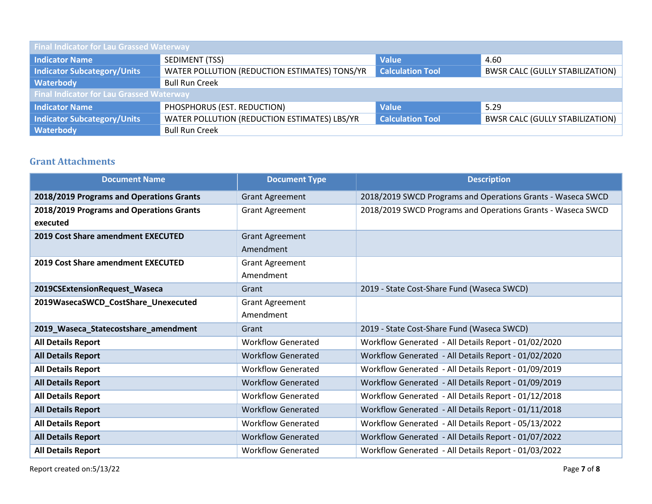| <b>Final Indicator for Lau Grassed Waterway</b> |                                                                          |              |                                        |  |  |
|-------------------------------------------------|--------------------------------------------------------------------------|--------------|----------------------------------------|--|--|
| Indicator Name                                  | SEDIMENT (TSS)                                                           | <b>Value</b> | 4.60                                   |  |  |
| Indicator Subcategory/Units                     | <b>Calculation Tool</b><br>WATER POLLUTION (REDUCTION ESTIMATES) TONS/YR |              | <b>BWSR CALC (GULLY STABILIZATION)</b> |  |  |
| <b>Waterbody</b>                                | <b>Bull Run Creek</b>                                                    |              |                                        |  |  |
| <b>Final Indicator for Lau Grassed Waterway</b> |                                                                          |              |                                        |  |  |
| Indicator Name                                  | PHOSPHORUS (EST. REDUCTION)                                              | <b>Value</b> | 5.29                                   |  |  |
| Indicator Subcategory/Units                     | WATER POLLUTION (REDUCTION ESTIMATES) LBS/YR<br><b>Calculation Tool</b>  |              | <b>BWSR CALC (GULLY STABILIZATION)</b> |  |  |
| <b>Waterbody</b>                                | <b>Bull Run Creek</b>                                                    |              |                                        |  |  |

### **Grant Attachments**

| <b>Document Name</b>                      | <b>Document Type</b>      | <b>Description</b>                                          |
|-------------------------------------------|---------------------------|-------------------------------------------------------------|
| 2018/2019 Programs and Operations Grants  | <b>Grant Agreement</b>    | 2018/2019 SWCD Programs and Operations Grants - Waseca SWCD |
| 2018/2019 Programs and Operations Grants  | <b>Grant Agreement</b>    | 2018/2019 SWCD Programs and Operations Grants - Waseca SWCD |
| executed                                  |                           |                                                             |
| <b>2019 Cost Share amendment EXECUTED</b> | <b>Grant Agreement</b>    |                                                             |
|                                           | Amendment                 |                                                             |
| 2019 Cost Share amendment EXECUTED        | <b>Grant Agreement</b>    |                                                             |
|                                           | Amendment                 |                                                             |
| 2019CSExtensionRequest_Waseca             | Grant                     | 2019 - State Cost-Share Fund (Waseca SWCD)                  |
| 2019WasecaSWCD_CostShare_Unexecuted       | <b>Grant Agreement</b>    |                                                             |
|                                           | Amendment                 |                                                             |
| 2019_Waseca_Statecostshare_amendment      | Grant                     | 2019 - State Cost-Share Fund (Waseca SWCD)                  |
| <b>All Details Report</b>                 | <b>Workflow Generated</b> | Workflow Generated - All Details Report - 01/02/2020        |
| <b>All Details Report</b>                 | <b>Workflow Generated</b> | Workflow Generated - All Details Report - 01/02/2020        |
| <b>All Details Report</b>                 | <b>Workflow Generated</b> | Workflow Generated - All Details Report - 01/09/2019        |
| <b>All Details Report</b>                 | <b>Workflow Generated</b> | Workflow Generated - All Details Report - 01/09/2019        |
| <b>All Details Report</b>                 | <b>Workflow Generated</b> | Workflow Generated - All Details Report - 01/12/2018        |
| <b>All Details Report</b>                 | <b>Workflow Generated</b> | Workflow Generated - All Details Report - 01/11/2018        |
| <b>All Details Report</b>                 | <b>Workflow Generated</b> | Workflow Generated - All Details Report - 05/13/2022        |
| <b>All Details Report</b>                 | <b>Workflow Generated</b> | Workflow Generated - All Details Report - 01/07/2022        |
| <b>All Details Report</b>                 | <b>Workflow Generated</b> | Workflow Generated - All Details Report - 01/03/2022        |